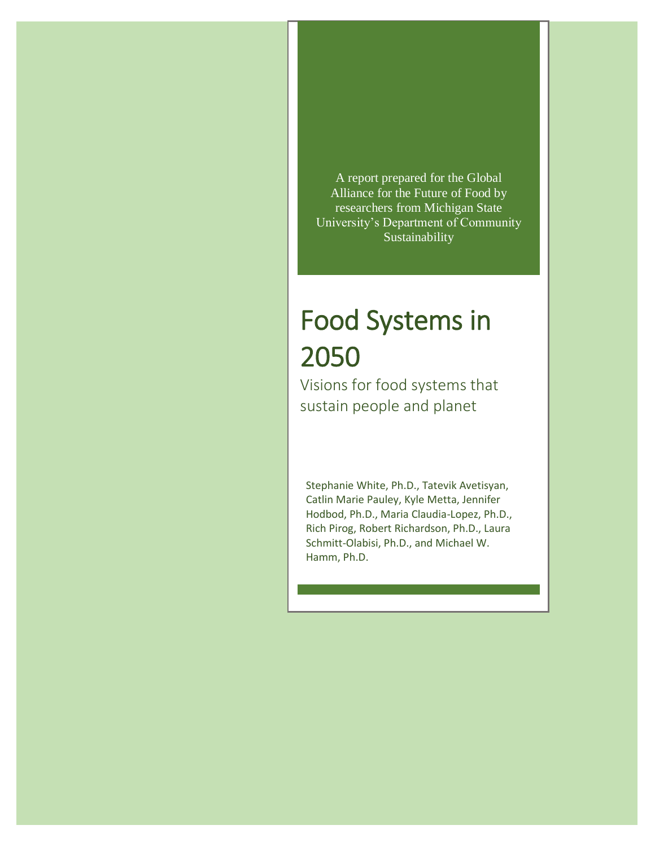A report prepared for the Global Alliance for the Future of Food by researchers from Michigan State University's Department of Community Sustainability

# Food Systems in 2050

Visions for food systems that sustain people and planet

Stephanie White, Ph.D., Tatevik Avetisyan, Catlin Marie Pauley, Kyle Metta, Jennifer Hodbod, Ph.D., Maria Claudia-Lopez, Ph.D., Rich Pirog, Robert Richardson, Ph.D., Laura Schmitt-Olabisi, Ph.D., and Michael W. Hamm, Ph.D.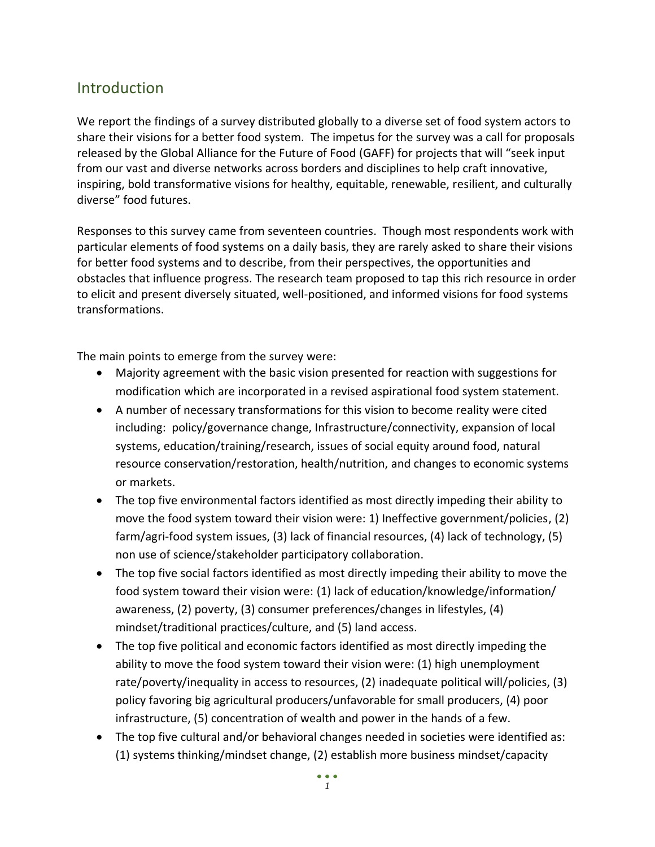# **Introduction**

We report the findings of a survey distributed globally to a diverse set of food system actors to share their visions for a better food system. The impetus for the survey was a call for proposals released by the Global Alliance for the Future of Food (GAFF) for projects that will "seek input from our vast and diverse networks across borders and disciplines to help craft innovative, inspiring, bold transformative visions for healthy, equitable, renewable, resilient, and culturally diverse" food futures.

Responses to this survey came from seventeen countries. Though most respondents work with particular elements of food systems on a daily basis, they are rarely asked to share their visions for better food systems and to describe, from their perspectives, the opportunities and obstacles that influence progress. The research team proposed to tap this rich resource in order to elicit and present diversely situated, well-positioned, and informed visions for food systems transformations.

The main points to emerge from the survey were:

- Majority agreement with the basic vision presented for reaction with suggestions for modification which are incorporated in a revised aspirational food system statement.
- A number of necessary transformations for this vision to become reality were cited including: policy/governance change, Infrastructure/connectivity, expansion of local systems, education/training/research, issues of social equity around food, natural resource conservation/restoration, health/nutrition, and changes to economic systems or markets.
- The top five environmental factors identified as most directly impeding their ability to move the food system toward their vision were: 1) Ineffective government/policies, (2) farm/agri-food system issues, (3) lack of financial resources, (4) lack of technology, (5) non use of science/stakeholder participatory collaboration.
- The top five social factors identified as most directly impeding their ability to move the food system toward their vision were: (1) lack of education/knowledge/information/ awareness, (2) poverty, (3) consumer preferences/changes in lifestyles, (4) mindset/traditional practices/culture, and (5) land access.
- The top five political and economic factors identified as most directly impeding the ability to move the food system toward their vision were: (1) high unemployment rate/poverty/inequality in access to resources, (2) inadequate political will/policies, (3) policy favoring big agricultural producers/unfavorable for small producers, (4) poor infrastructure, (5) concentration of wealth and power in the hands of a few.
- The top five cultural and/or behavioral changes needed in societies were identified as: (1) systems thinking/mindset change, (2) establish more business mindset/capacity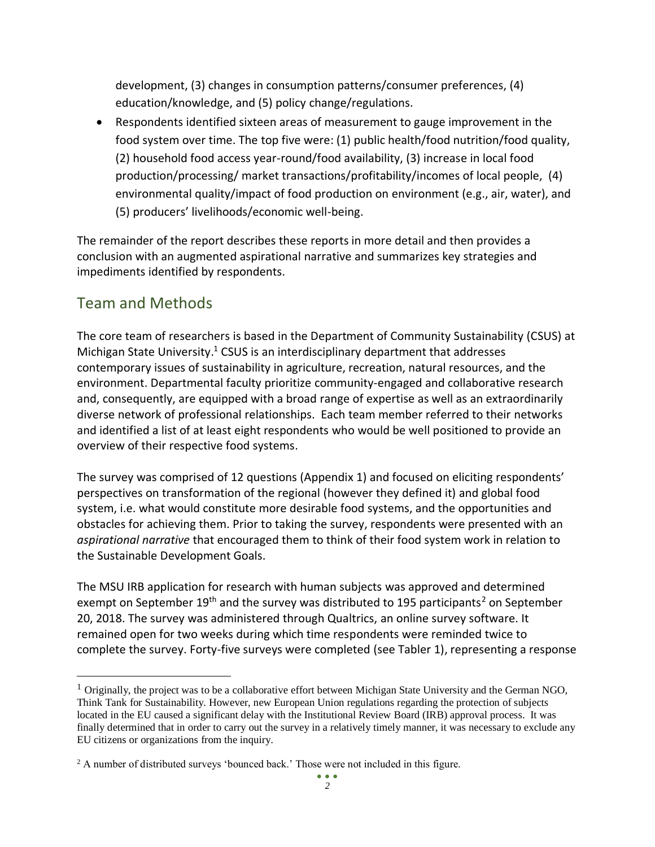development, (3) changes in consumption patterns/consumer preferences, (4) education/knowledge, and (5) policy change/regulations.

• Respondents identified sixteen areas of measurement to gauge improvement in the food system over time. The top five were: (1) public health/food nutrition/food quality, (2) household food access year-round/food availability, (3) increase in local food production/processing/ market transactions/profitability/incomes of local people, (4) environmental quality/impact of food production on environment (e.g., air, water), and (5) producers' livelihoods/economic well-being.

The remainder of the report describes these reports in more detail and then provides a conclusion with an augmented aspirational narrative and summarizes key strategies and impediments identified by respondents.

# Team and Methods

 $\overline{a}$ 

The core team of researchers is based in the Department of Community Sustainability (CSUS) at Michigan State University. $1$  CSUS is an interdisciplinary department that addresses contemporary issues of sustainability in agriculture, recreation, natural resources, and the environment. Departmental faculty prioritize community-engaged and collaborative research and, consequently, are equipped with a broad range of expertise as well as an extraordinarily diverse network of professional relationships. Each team member referred to their networks and identified a list of at least eight respondents who would be well positioned to provide an overview of their respective food systems.

The survey was comprised of 12 questions (Appendix 1) and focused on eliciting respondents' perspectives on transformation of the regional (however they defined it) and global food system, i.e. what would constitute more desirable food systems, and the opportunities and obstacles for achieving them. Prior to taking the survey, respondents were presented with an *aspirational narrative* that encouraged them to think of their food system work in relation to the Sustainable Development Goals.

The MSU IRB application for research with human subjects was approved and determined exempt on September 19<sup>th</sup> and the survey was distributed to 195 participants<sup>2</sup> on September 20, 2018. The survey was administered through Qualtrics, an online survey software. It remained open for two weeks during which time respondents were reminded twice to complete the survey. Forty-five surveys were completed (see Tabler 1), representing a response

 $1$  Originally, the project was to be a collaborative effort between Michigan State University and the German NGO, Think Tank for Sustainability. However, new European Union regulations regarding the protection of subjects located in the EU caused a significant delay with the Institutional Review Board (IRB) approval process. It was finally determined that in order to carry out the survey in a relatively timely manner, it was necessary to exclude any EU citizens or organizations from the inquiry.

<sup>&</sup>lt;sup>2</sup> A number of distributed surveys 'bounced back.' Those were not included in this figure.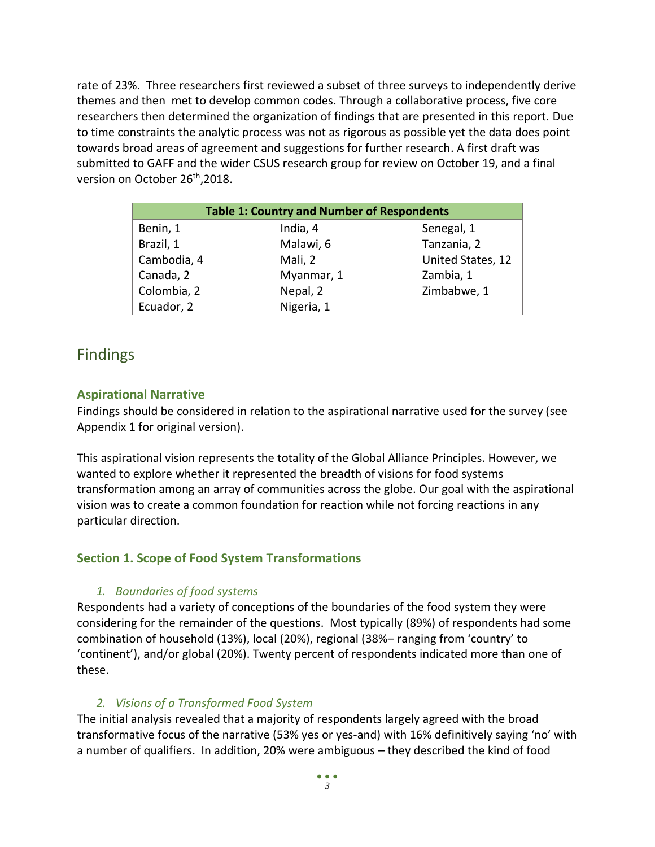rate of 23%. Three researchers first reviewed a subset of three surveys to independently derive themes and then met to develop common codes. Through a collaborative process, five core researchers then determined the organization of findings that are presented in this report. Due to time constraints the analytic process was not as rigorous as possible yet the data does point towards broad areas of agreement and suggestions for further research. A first draft was submitted to GAFF and the wider CSUS research group for review on October 19, and a final version on October 26<sup>th</sup>,2018.

| <b>Table 1: Country and Number of Respondents</b> |            |                   |
|---------------------------------------------------|------------|-------------------|
| Benin, 1                                          | India, 4   | Senegal, 1        |
| Brazil, 1                                         | Malawi, 6  | Tanzania, 2       |
| Cambodia, 4                                       | Mali, 2    | United States, 12 |
| Canada, 2                                         | Myanmar, 1 | Zambia, 1         |
| Colombia, 2                                       | Nepal, 2   | Zimbabwe, 1       |
| Ecuador, 2                                        | Nigeria, 1 |                   |

## Findings

## **Aspirational Narrative**

Findings should be considered in relation to the aspirational narrative used for the survey (see Appendix 1 for original version).

This aspirational vision represents the totality of the Global Alliance Principles. However, we wanted to explore whether it represented the breadth of visions for food systems transformation among an array of communities across the globe. Our goal with the aspirational vision was to create a common foundation for reaction while not forcing reactions in any particular direction.

## **Section 1. Scope of Food System Transformations**

## *1. Boundaries of food systems*

Respondents had a variety of conceptions of the boundaries of the food system they were considering for the remainder of the questions. Most typically (89%) of respondents had some combination of household (13%), local (20%), regional (38%– ranging from 'country' to 'continent'), and/or global (20%). Twenty percent of respondents indicated more than one of these.

## *2. Visions of a Transformed Food System*

The initial analysis revealed that a majority of respondents largely agreed with the broad transformative focus of the narrative (53% yes or yes-and) with 16% definitively saying 'no' with a number of qualifiers. In addition, 20% were ambiguous – they described the kind of food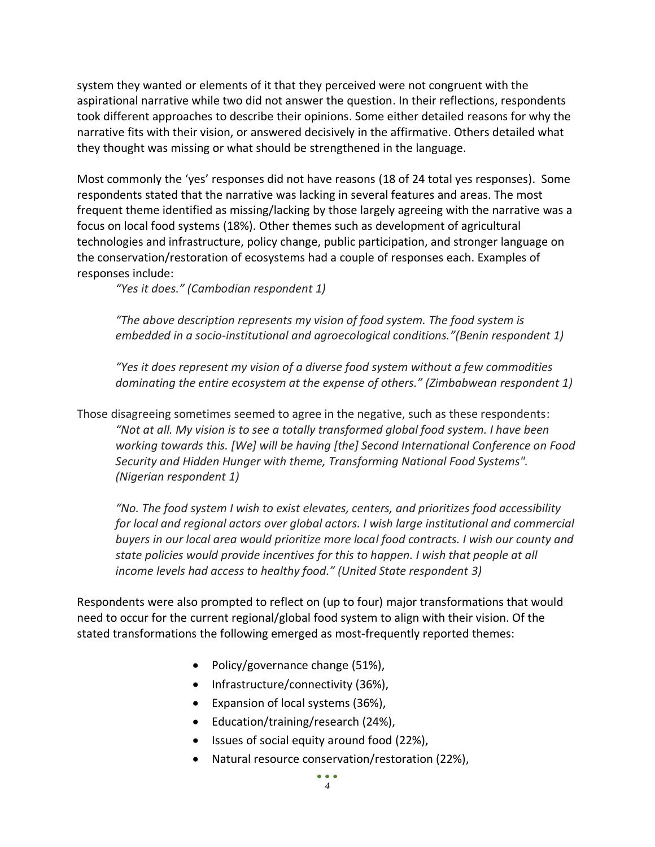system they wanted or elements of it that they perceived were not congruent with the aspirational narrative while two did not answer the question. In their reflections, respondents took different approaches to describe their opinions. Some either detailed reasons for why the narrative fits with their vision, or answered decisively in the affirmative. Others detailed what they thought was missing or what should be strengthened in the language.

Most commonly the 'yes' responses did not have reasons (18 of 24 total yes responses). Some respondents stated that the narrative was lacking in several features and areas. The most frequent theme identified as missing/lacking by those largely agreeing with the narrative was a focus on local food systems (18%). Other themes such as development of agricultural technologies and infrastructure, policy change, public participation, and stronger language on the conservation/restoration of ecosystems had a couple of responses each. Examples of responses include:

*"Yes it does." (Cambodian respondent 1)*

*"The above description represents my vision of food system. The food system is embedded in a socio-institutional and agroecological conditions."(Benin respondent 1)*

*"Yes it does represent my vision of a diverse food system without a few commodities dominating the entire ecosystem at the expense of others." (Zimbabwean respondent 1)*

Those disagreeing sometimes seemed to agree in the negative, such as these respondents: *"Not at all. My vision is to see a totally transformed global food system. I have been working towards this. [We] will be having [the] Second International Conference on Food Security and Hidden Hunger with theme, Transforming National Food Systems". (Nigerian respondent 1)*

*"No. The food system I wish to exist elevates, centers, and prioritizes food accessibility for local and regional actors over global actors. I wish large institutional and commercial buyers in our local area would prioritize more local food contracts. I wish our county and state policies would provide incentives for this to happen. I wish that people at all income levels had access to healthy food." (United State respondent 3)*

Respondents were also prompted to reflect on (up to four) major transformations that would need to occur for the current regional/global food system to align with their vision. Of the stated transformations the following emerged as most-frequently reported themes:

- Policy/governance change (51%),
- Infrastructure/connectivity (36%),
- Expansion of local systems (36%),
- Education/training/research (24%),
- Issues of social equity around food (22%),
- Natural resource conservation/restoration (22%),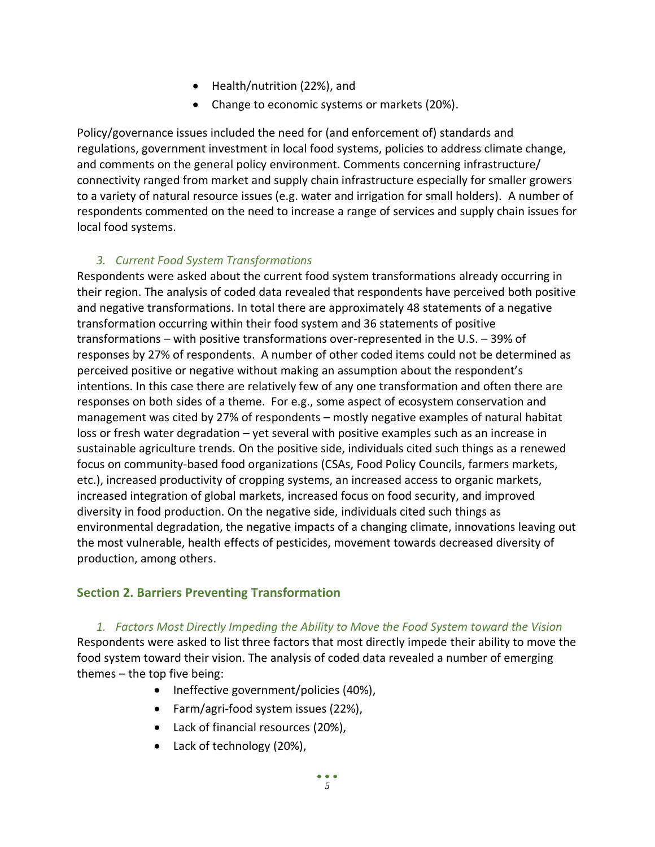- Health/nutrition (22%), and
- Change to economic systems or markets (20%).

Policy/governance issues included the need for (and enforcement of) standards and regulations, government investment in local food systems, policies to address climate change, and comments on the general policy environment. Comments concerning infrastructure/ connectivity ranged from market and supply chain infrastructure especially for smaller growers to a variety of natural resource issues (e.g. water and irrigation for small holders). A number of respondents commented on the need to increase a range of services and supply chain issues for local food systems.

## *3. Current Food System Transformations*

Respondents were asked about the current food system transformations already occurring in their region. The analysis of coded data revealed that respondents have perceived both positive and negative transformations. In total there are approximately 48 statements of a negative transformation occurring within their food system and 36 statements of positive transformations – with positive transformations over-represented in the U.S. – 39% of responses by 27% of respondents. A number of other coded items could not be determined as perceived positive or negative without making an assumption about the respondent's intentions. In this case there are relatively few of any one transformation and often there are responses on both sides of a theme. For e.g., some aspect of ecosystem conservation and management was cited by 27% of respondents – mostly negative examples of natural habitat loss or fresh water degradation – yet several with positive examples such as an increase in sustainable agriculture trends. On the positive side, individuals cited such things as a renewed focus on community-based food organizations (CSAs, Food Policy Councils, farmers markets, etc.), increased productivity of cropping systems, an increased access to organic markets, increased integration of global markets, increased focus on food security, and improved diversity in food production. On the negative side, individuals cited such things as environmental degradation, the negative impacts of a changing climate, innovations leaving out the most vulnerable, health effects of pesticides, movement towards decreased diversity of production, among others.

## **Section 2. Barriers Preventing Transformation**

*1. Factors Most Directly Impeding the Ability to Move the Food System toward the Vision*  Respondents were asked to list three factors that most directly impede their ability to move the food system toward their vision. The analysis of coded data revealed a number of emerging themes – the top five being:

- Ineffective government/policies (40%),
- Farm/agri-food system issues (22%),
- Lack of financial resources (20%),
- Lack of technology (20%),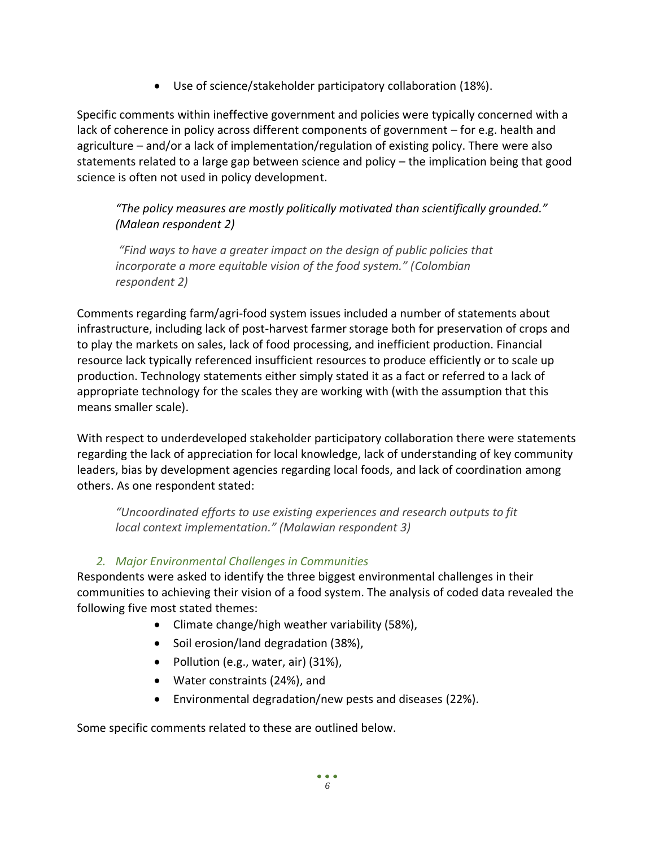• Use of science/stakeholder participatory collaboration (18%).

Specific comments within ineffective government and policies were typically concerned with a lack of coherence in policy across different components of government – for e.g. health and agriculture – and/or a lack of implementation/regulation of existing policy. There were also statements related to a large gap between science and policy – the implication being that good science is often not used in policy development.

*"The policy measures are mostly politically motivated than scientifically grounded." (Malean respondent 2)*

*"Find ways to have a greater impact on the design of public policies that incorporate a more equitable vision of the food system." (Colombian respondent 2)* 

Comments regarding farm/agri-food system issues included a number of statements about infrastructure, including lack of post-harvest farmer storage both for preservation of crops and to play the markets on sales, lack of food processing, and inefficient production. Financial resource lack typically referenced insufficient resources to produce efficiently or to scale up production. Technology statements either simply stated it as a fact or referred to a lack of appropriate technology for the scales they are working with (with the assumption that this means smaller scale).

With respect to underdeveloped stakeholder participatory collaboration there were statements regarding the lack of appreciation for local knowledge, lack of understanding of key community leaders, bias by development agencies regarding local foods, and lack of coordination among others. As one respondent stated:

*"Uncoordinated efforts to use existing experiences and research outputs to fit local context implementation." (Malawian respondent 3)*

## *2. Major Environmental Challenges in Communities*

Respondents were asked to identify the three biggest environmental challenges in their communities to achieving their vision of a food system. The analysis of coded data revealed the following five most stated themes:

- Climate change/high weather variability (58%),
- Soil erosion/land degradation (38%),
- Pollution (e.g., water, air) (31%),
- Water constraints (24%), and
- Environmental degradation/new pests and diseases (22%).

Some specific comments related to these are outlined below.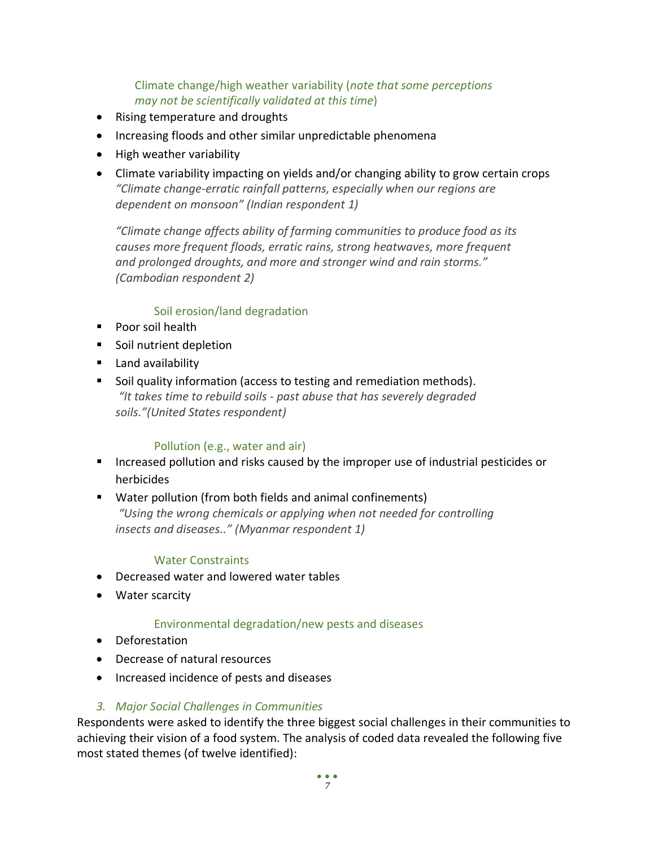Climate change/high weather variability (*note that some perceptions may not be scientifically validated at this time*)

- Rising temperature and droughts
- Increasing floods and other similar unpredictable phenomena
- High weather variability
- Climate variability impacting on yields and/or changing ability to grow certain crops *"Climate change-erratic rainfall patterns, especially when our regions are dependent on monsoon" (Indian respondent 1)*

*"Climate change affects ability of farming communities to produce food as its causes more frequent floods, erratic rains, strong heatwaves, more frequent and prolonged droughts, and more and stronger wind and rain storms." (Cambodian respondent 2)*

#### Soil erosion/land degradation

- Poor soil health
- Soil nutrient depletion
- Land availability
- Soil quality information (access to testing and remediation methods). *"It takes time to rebuild soils - past abuse that has severely degraded soils."(United States respondent)*

#### Pollution (e.g., water and air)

- Increased pollution and risks caused by the improper use of industrial pesticides or herbicides
- Water pollution (from both fields and animal confinements) *"Using the wrong chemicals or applying when not needed for controlling insects and diseases.." (Myanmar respondent 1)*

#### Water Constraints

- Decreased water and lowered water tables
- Water scarcity

#### Environmental degradation/new pests and diseases

- Deforestation
- Decrease of natural resources
- Increased incidence of pests and diseases

#### *3. Major Social Challenges in Communities*

Respondents were asked to identify the three biggest social challenges in their communities to achieving their vision of a food system. The analysis of coded data revealed the following five most stated themes (of twelve identified):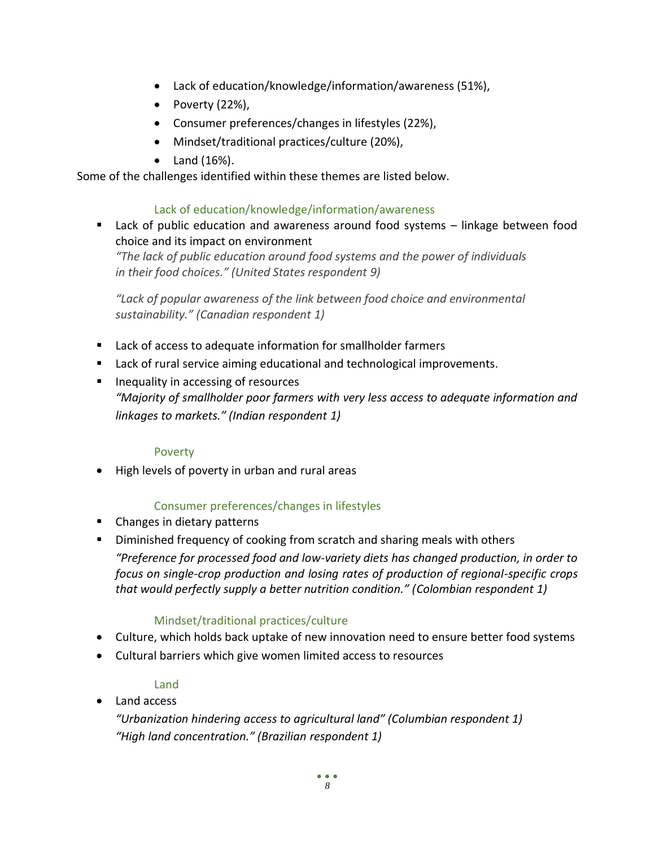- Lack of education/knowledge/information/awareness (51%),
- Poverty (22%),
- Consumer preferences/changes in lifestyles (22%),
- Mindset/traditional practices/culture (20%),
- Land (16%).

Some of the challenges identified within these themes are listed below.

## Lack of education/knowledge/information/awareness

■ Lack of public education and awareness around food systems – linkage between food choice and its impact on environment

*"The lack of public education around food systems and the power of individuals in their food choices." (United States respondent 9)*

*"Lack of popular awareness of the link between food choice and environmental sustainability." (Canadian respondent 1)*

- Lack of access to adequate information for smallholder farmers
- Lack of rural service aiming educational and technological improvements.
- Inequality in accessing of resources *"Majority of smallholder poor farmers with very less access to adequate information and linkages to markets." (Indian respondent 1)*

#### Poverty

• High levels of poverty in urban and rural areas

## Consumer preferences/changes in lifestyles

- Changes in dietary patterns
- **E** Diminished frequency of cooking from scratch and sharing meals with others *"Preference for processed food and low-variety diets has changed production, in order to focus on single-crop production and losing rates of production of regional-specific crops that would perfectly supply a better nutrition condition." (Colombian respondent 1)*

## Mindset/traditional practices/culture

- Culture, which holds back uptake of new innovation need to ensure better food systems
- Cultural barriers which give women limited access to resources

## Land

• Land access

*"Urbanization hindering access to agricultural land" (Columbian respondent 1) "High land concentration." (Brazilian respondent 1)*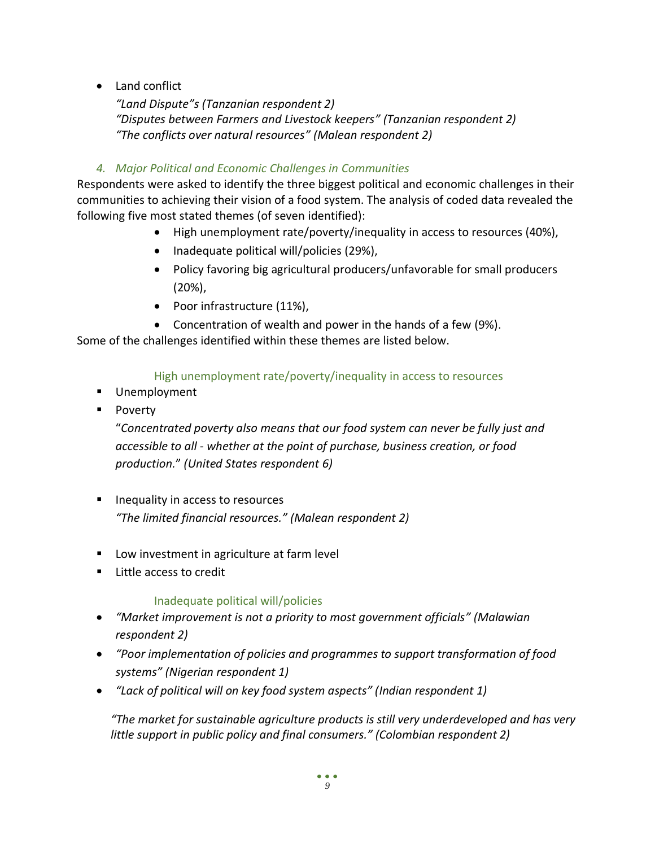• Land conflict

*"Land Dispute"s (Tanzanian respondent 2) "Disputes between Farmers and Livestock keepers" (Tanzanian respondent 2) "The conflicts over natural resources" (Malean respondent 2)*

## *4. Major Political and Economic Challenges in Communities*

Respondents were asked to identify the three biggest political and economic challenges in their communities to achieving their vision of a food system. The analysis of coded data revealed the following five most stated themes (of seven identified):

- High unemployment rate/poverty/inequality in access to resources (40%),
- Inadequate political will/policies (29%),
- Policy favoring big agricultural producers/unfavorable for small producers (20%),
- Poor infrastructure (11%),
- Concentration of wealth and power in the hands of a few (9%).

Some of the challenges identified within these themes are listed below.

## High unemployment rate/poverty/inequality in access to resources

- Unemployment
- Poverty

"*Concentrated poverty also means that our food system can never be fully just and accessible to all - whether at the point of purchase, business creation, or food production.*" *(United States respondent 6)*

- Inequality in access to resources *"The limited financial resources." (Malean respondent 2)*
- Low investment in agriculture at farm level
- Little access to credit

## Inadequate political will/policies

- *"Market improvement is not a priority to most government officials" (Malawian respondent 2)*
- *"Poor implementation of policies and programmes to support transformation of food systems" (Nigerian respondent 1)*
- *"Lack of political will on key food system aspects" (Indian respondent 1)*

*"The market for sustainable agriculture products is still very underdeveloped and has very little support in public policy and final consumers." (Colombian respondent 2)*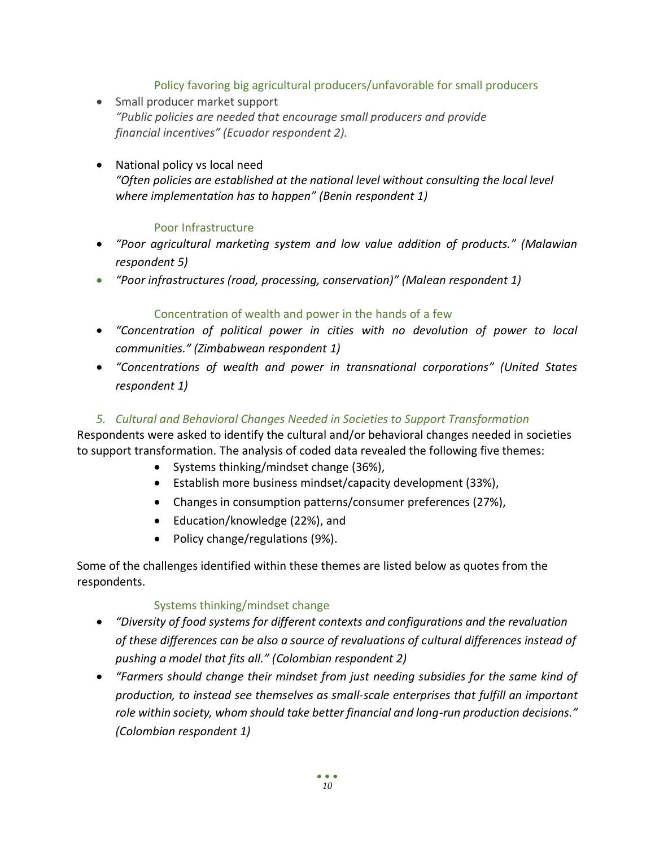## Policy favoring big agricultural producers/unfavorable for small producers

• Small producer market support *"Public policies are needed that encourage small producers and provide financial incentives" (Ecuador respondent 2).*

## • National policy vs local need *"Often policies are established at the national level without consulting the local level where implementation has to happen" (Benin respondent 1)*

## Poor Infrastructure

- *"Poor agricultural marketing system and low value addition of products." (Malawian respondent 5)*
- *"Poor infrastructures (road, processing, conservation)" (Malean respondent 1)*

#### Concentration of wealth and power in the hands of a few

- *"Concentration of political power in cities with no devolution of power to local communities." (Zimbabwean respondent 1)*
- *"Concentrations of wealth and power in transnational corporations" (United States respondent 1)*

#### *5. Cultural and Behavioral Changes Needed in Societies to Support Transformation*

Respondents were asked to identify the cultural and/or behavioral changes needed in societies to support transformation. The analysis of coded data revealed the following five themes:

- Systems thinking/mindset change (36%),
- Establish more business mindset/capacity development (33%),
- Changes in consumption patterns/consumer preferences (27%),
- Education/knowledge (22%), and
- Policy change/regulations (9%).

Some of the challenges identified within these themes are listed below as quotes from the respondents.

#### Systems thinking/mindset change

- *"Diversity of food systems for different contexts and configurations and the revaluation of these differences can be also a source of revaluations of cultural differences instead of pushing a model that fits all." (Colombian respondent 2)*
- *"Farmers should change their mindset from just needing subsidies for the same kind of production, to instead see themselves as small-scale enterprises that fulfill an important role within society, whom should take better financial and long-run production decisions." (Colombian respondent 1)*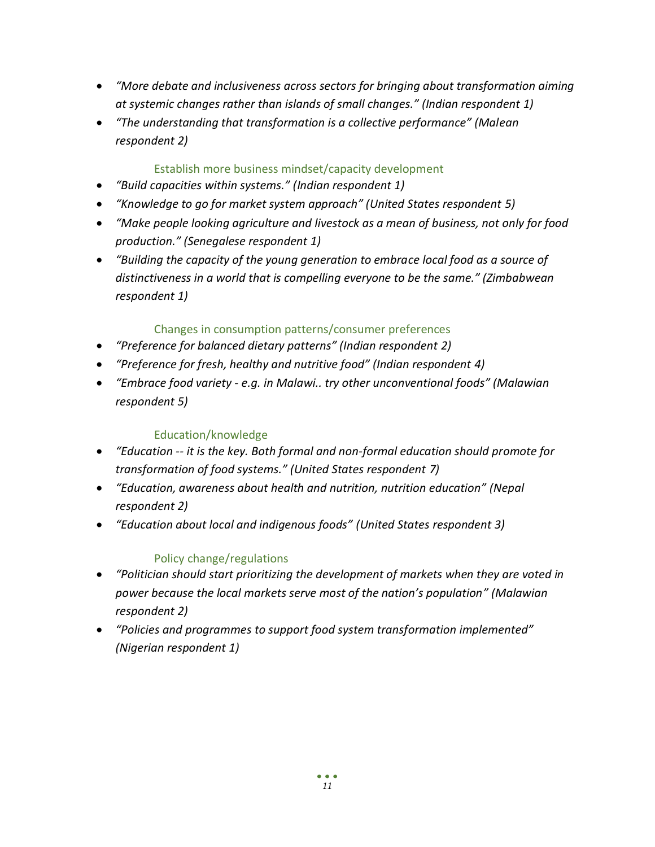- *"More debate and inclusiveness across sectors for bringing about transformation aiming at systemic changes rather than islands of small changes." (Indian respondent 1)*
- *"The understanding that transformation is a collective performance" (Malean respondent 2)*

## Establish more business mindset/capacity development

- *"Build capacities within systems." (Indian respondent 1)*
- *"Knowledge to go for market system approach" (United States respondent 5)*
- *"Make people looking agriculture and livestock as a mean of business, not only for food production." (Senegalese respondent 1)*
- *"Building the capacity of the young generation to embrace local food as a source of distinctiveness in a world that is compelling everyone to be the same." (Zimbabwean respondent 1)*

## Changes in consumption patterns/consumer preferences

- *"Preference for balanced dietary patterns" (Indian respondent 2)*
- *"Preference for fresh, healthy and nutritive food" (Indian respondent 4)*
- *"Embrace food variety - e.g. in Malawi.. try other unconventional foods" (Malawian respondent 5)*

## Education/knowledge

- *"Education -- it is the key. Both formal and non-formal education should promote for transformation of food systems." (United States respondent 7)*
- *"Education, awareness about health and nutrition, nutrition education" (Nepal respondent 2)*
- *"Education about local and indigenous foods" (United States respondent 3)*

## Policy change/regulations

- *"Politician should start prioritizing the development of markets when they are voted in power because the local markets serve most of the nation's population" (Malawian respondent 2)*
- *"Policies and programmes to support food system transformation implemented" (Nigerian respondent 1)*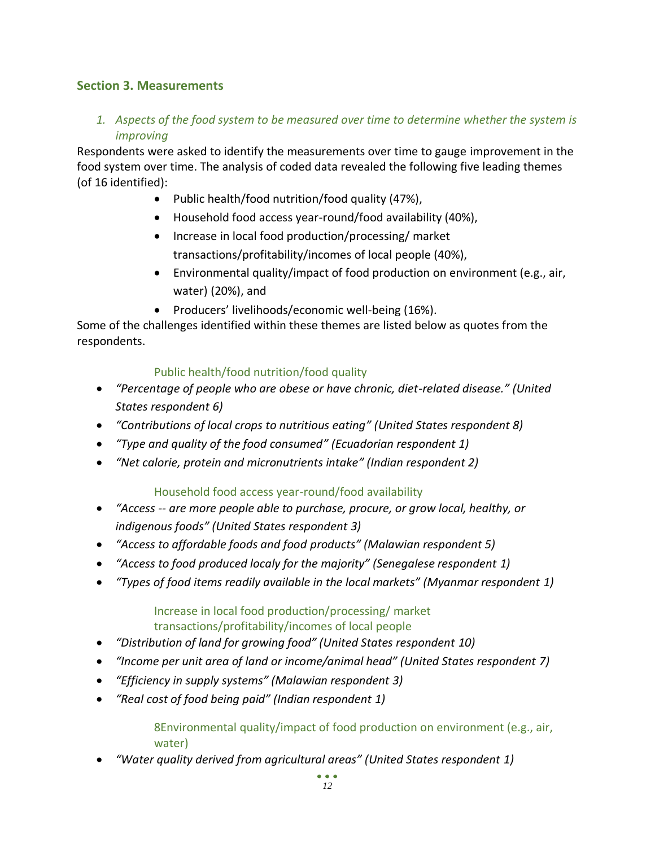## **Section 3. Measurements**

*1. Aspects of the food system to be measured over time to determine whether the system is improving* 

Respondents were asked to identify the measurements over time to gauge improvement in the food system over time. The analysis of coded data revealed the following five leading themes (of 16 identified):

- Public health/food nutrition/food quality (47%),
- Household food access year-round/food availability (40%),
- Increase in local food production/processing/ market transactions/profitability/incomes of local people (40%),
- Environmental quality/impact of food production on environment (e.g., air, water) (20%), and
- Producers' livelihoods/economic well-being (16%).

Some of the challenges identified within these themes are listed below as quotes from the respondents.

## Public health/food nutrition/food quality

- *"Percentage of people who are obese or have chronic, diet-related disease." (United States respondent 6)*
- *"Contributions of local crops to nutritious eating" (United States respondent 8)*
- *"Type and quality of the food consumed" (Ecuadorian respondent 1)*
- *"Net calorie, protein and micronutrients intake" (Indian respondent 2)*

## Household food access year-round/food availability

- *"Access -- are more people able to purchase, procure, or grow local, healthy, or indigenous foods" (United States respondent 3)*
- *"Access to affordable foods and food products" (Malawian respondent 5)*
- *"Access to food produced localy for the majority" (Senegalese respondent 1)*
- *"Types of food items readily available in the local markets" (Myanmar respondent 1)*

#### Increase in local food production/processing/ market transactions/profitability/incomes of local people

- *"Distribution of land for growing food" (United States respondent 10)*
- *"Income per unit area of land or income/animal head" (United States respondent 7)*
- *"Efficiency in supply systems" (Malawian respondent 3)*
- *"Real cost of food being paid" (Indian respondent 1)*

8Environmental quality/impact of food production on environment (e.g., air, water)

• *"Water quality derived from agricultural areas" (United States respondent 1)*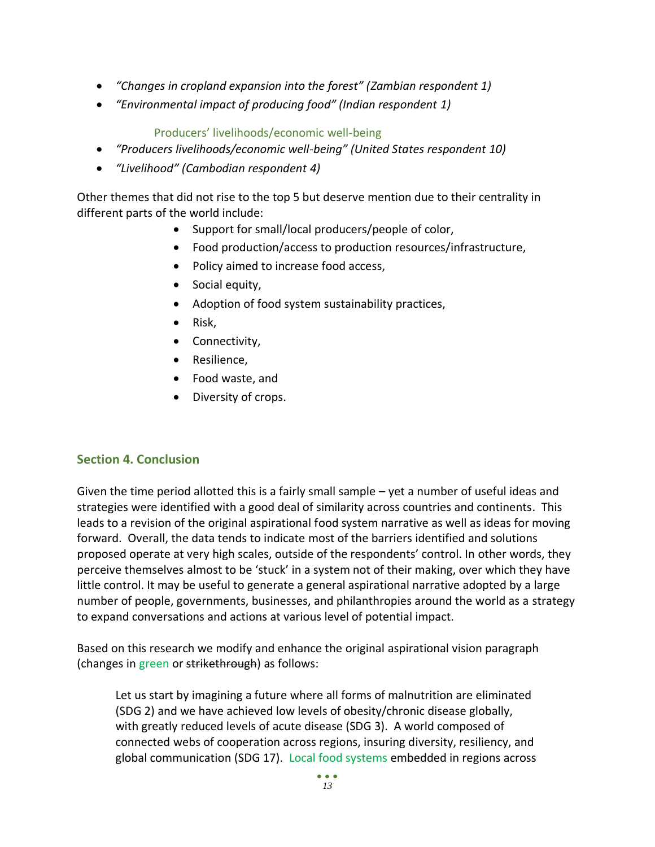- *"Changes in cropland expansion into the forest" (Zambian respondent 1)*
- *"Environmental impact of producing food" (Indian respondent 1)*

Producers' livelihoods/economic well-being

- *"Producers livelihoods/economic well-being" (United States respondent 10)*
- *"Livelihood" (Cambodian respondent 4)*

Other themes that did not rise to the top 5 but deserve mention due to their centrality in different parts of the world include:

- Support for small/local producers/people of color,
- Food production/access to production resources/infrastructure,
- Policy aimed to increase food access,
- Social equity,
- Adoption of food system sustainability practices,
- Risk,
- Connectivity,
- Resilience,
- Food waste, and
- Diversity of crops.

## **Section 4. Conclusion**

Given the time period allotted this is a fairly small sample – yet a number of useful ideas and strategies were identified with a good deal of similarity across countries and continents. This leads to a revision of the original aspirational food system narrative as well as ideas for moving forward. Overall, the data tends to indicate most of the barriers identified and solutions proposed operate at very high scales, outside of the respondents' control. In other words, they perceive themselves almost to be 'stuck' in a system not of their making, over which they have little control. It may be useful to generate a general aspirational narrative adopted by a large number of people, governments, businesses, and philanthropies around the world as a strategy to expand conversations and actions at various level of potential impact.

Based on this research we modify and enhance the original aspirational vision paragraph (changes in green or strikethrough) as follows:

Let us start by imagining a future where all forms of malnutrition are eliminated (SDG 2) and we have achieved low levels of obesity/chronic disease globally, with greatly reduced levels of acute disease (SDG 3). A world composed of connected webs of cooperation across regions, insuring diversity, resiliency, and global communication (SDG 17). Local food systems embedded in regions across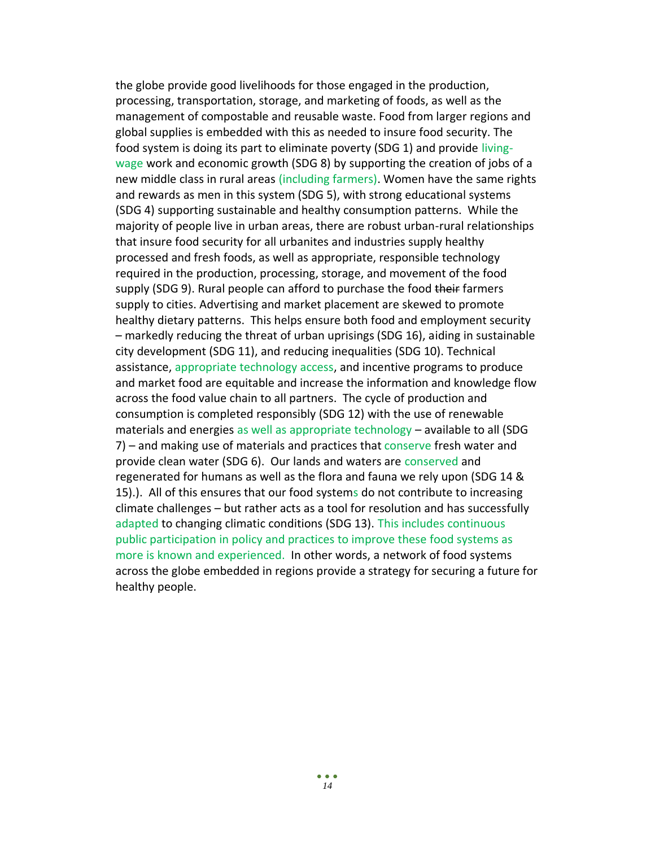the globe provide good livelihoods for those engaged in the production, processing, transportation, storage, and marketing of foods, as well as the management of compostable and reusable waste. Food from larger regions and global supplies is embedded with this as needed to insure food security. The food system is doing its part to eliminate poverty (SDG 1) and provide livingwage work and economic growth (SDG 8) by supporting the creation of jobs of a new middle class in rural areas (including farmers). Women have the same rights and rewards as men in this system (SDG 5), with strong educational systems (SDG 4) supporting sustainable and healthy consumption patterns. While the majority of people live in urban areas, there are robust urban-rural relationships that insure food security for all urbanites and industries supply healthy processed and fresh foods, as well as appropriate, responsible technology required in the production, processing, storage, and movement of the food supply (SDG 9). Rural people can afford to purchase the food their farmers supply to cities. Advertising and market placement are skewed to promote healthy dietary patterns. This helps ensure both food and employment security – markedly reducing the threat of urban uprisings (SDG 16), aiding in sustainable city development (SDG 11), and reducing inequalities (SDG 10). Technical assistance, appropriate technology access, and incentive programs to produce and market food are equitable and increase the information and knowledge flow across the food value chain to all partners. The cycle of production and consumption is completed responsibly (SDG 12) with the use of renewable materials and energies as well as appropriate technology – available to all (SDG 7) – and making use of materials and practices that conserve fresh water and provide clean water (SDG 6). Our lands and waters are conserved and regenerated for humans as well as the flora and fauna we rely upon (SDG 14 & 15).). All of this ensures that our food systems do not contribute to increasing climate challenges – but rather acts as a tool for resolution and has successfully adapted to changing climatic conditions (SDG 13). This includes continuous public participation in policy and practices to improve these food systems as more is known and experienced. In other words, a network of food systems across the globe embedded in regions provide a strategy for securing a future for healthy people.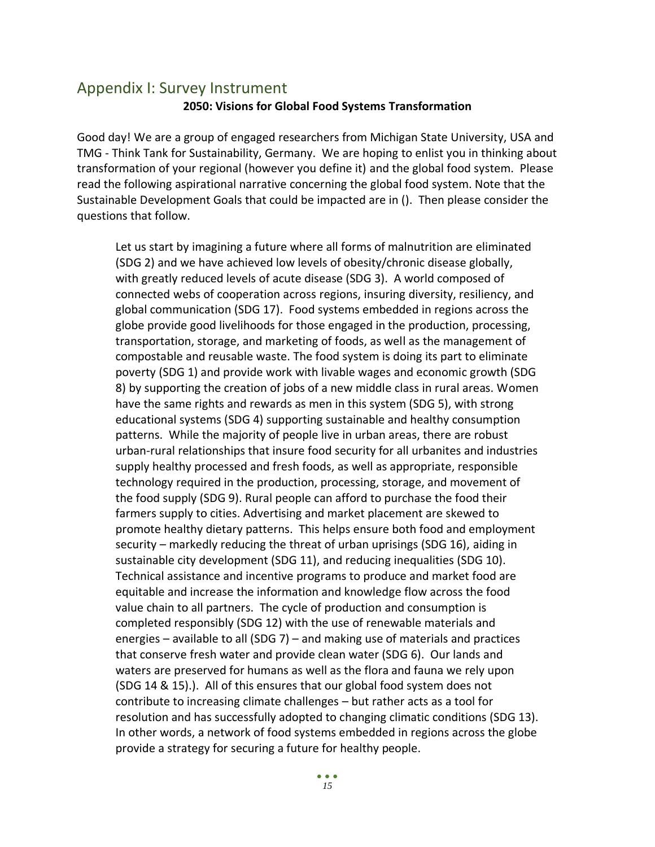## Appendix I: Survey Instrument **2050: Visions for Global Food Systems Transformation**

Good day! We are a group of engaged researchers from Michigan State University, USA and TMG - Think Tank for Sustainability, Germany. We are hoping to enlist you in thinking about transformation of your regional (however you define it) and the global food system. Please read the following aspirational narrative concerning the global food system. Note that the Sustainable Development Goals that could be impacted are in (). Then please consider the questions that follow.

Let us start by imagining a future where all forms of malnutrition are eliminated (SDG 2) and we have achieved low levels of obesity/chronic disease globally, with greatly reduced levels of acute disease (SDG 3). A world composed of connected webs of cooperation across regions, insuring diversity, resiliency, and global communication (SDG 17). Food systems embedded in regions across the globe provide good livelihoods for those engaged in the production, processing, transportation, storage, and marketing of foods, as well as the management of compostable and reusable waste. The food system is doing its part to eliminate poverty (SDG 1) and provide work with livable wages and economic growth (SDG 8) by supporting the creation of jobs of a new middle class in rural areas. Women have the same rights and rewards as men in this system (SDG 5), with strong educational systems (SDG 4) supporting sustainable and healthy consumption patterns. While the majority of people live in urban areas, there are robust urban-rural relationships that insure food security for all urbanites and industries supply healthy processed and fresh foods, as well as appropriate, responsible technology required in the production, processing, storage, and movement of the food supply (SDG 9). Rural people can afford to purchase the food their farmers supply to cities. Advertising and market placement are skewed to promote healthy dietary patterns. This helps ensure both food and employment security – markedly reducing the threat of urban uprisings (SDG 16), aiding in sustainable city development (SDG 11), and reducing inequalities (SDG 10). Technical assistance and incentive programs to produce and market food are equitable and increase the information and knowledge flow across the food value chain to all partners. The cycle of production and consumption is completed responsibly (SDG 12) with the use of renewable materials and energies – available to all (SDG 7) – and making use of materials and practices that conserve fresh water and provide clean water (SDG 6). Our lands and waters are preserved for humans as well as the flora and fauna we rely upon (SDG 14 & 15).). All of this ensures that our global food system does not contribute to increasing climate challenges – but rather acts as a tool for resolution and has successfully adopted to changing climatic conditions (SDG 13). In other words, a network of food systems embedded in regions across the globe provide a strategy for securing a future for healthy people.